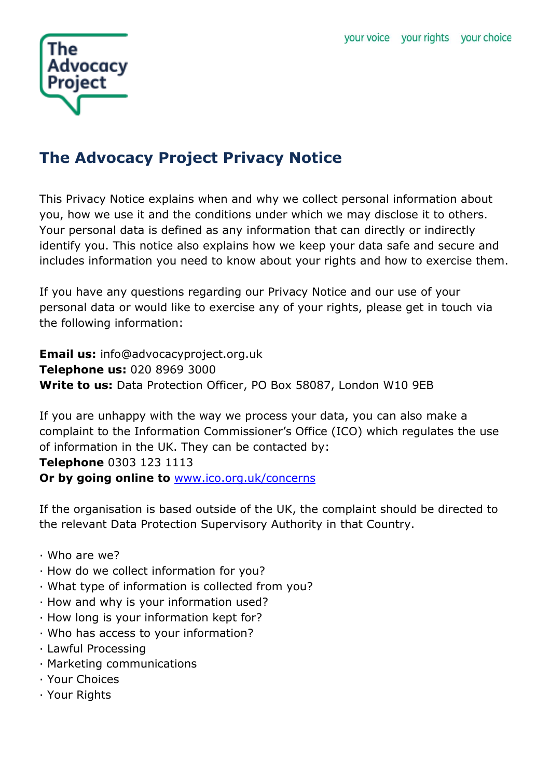

# **The Advocacy Project Privacy Notice**

This Privacy Notice explains when and why we collect personal information about you, how we use it and the conditions under which we may disclose it to others. Your personal data is defined as any information that can directly or indirectly identify you. This notice also explains how we keep your data safe and secure and includes information you need to know about your rights and how to exercise them.

If you have any questions regarding our Privacy Notice and our use of your personal data or would like to exercise any of your rights, please get in touch via the following information:

**Email us:** info@advocacyproject.org.uk **Telephone us:** 020 8969 3000 **Write to us:** Data Protection Officer, PO Box 58087, London W10 9EB

If you are unhappy with the way we process your data, you can also make a complaint to the Information Commissioner's Office (ICO) which regulates the use of information in the UK. They can be contacted by: **Telephone** 0303 123 1113 **Or by going online to** [www.ico.org.uk/concerns](http://www.ico.org.uk/concerns)

If the organisation is based outside of the UK, the complaint should be directed to the relevant Data Protection Supervisory Authority in that Country.

- · Who are we?
- · How do we collect information for you?
- · What type of information is collected from you?
- · How and why is your information used?
- · How long is your information kept for?
- · Who has access to your information?
- · Lawful Processing
- · Marketing communications
- · Your Choices
- · Your Rights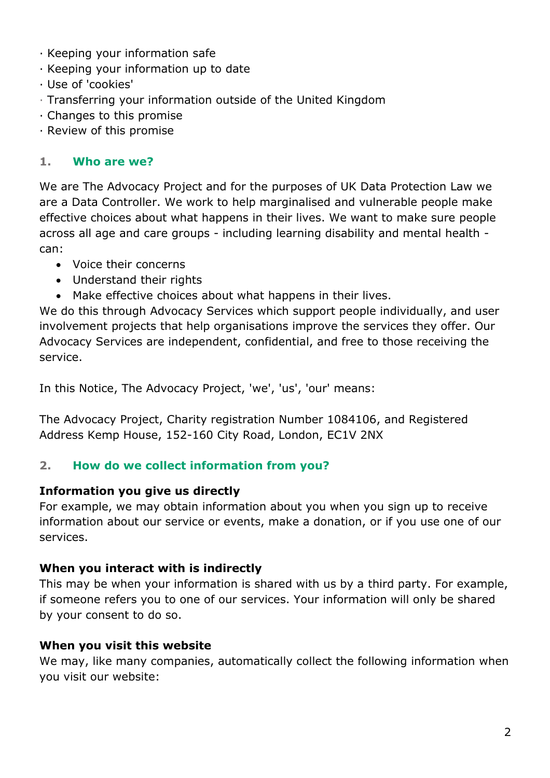- · Keeping your information safe
- · Keeping your information up to date
- · Use of 'cookies'
- · Transferring your information outside of the United Kingdom
- · Changes to this promise
- · Review of this promise

#### **1. Who are we?**

We are The Advocacy Project and for the purposes of UK Data Protection Law we are a Data Controller. We work to help marginalised and vulnerable people make effective choices about what happens in their lives. We want to make sure people across all age and care groups - including learning disability and mental health can:

- Voice their concerns
- Understand their rights
- Make effective choices about what happens in their lives.

We do this through Advocacy Services which support people individually, and user involvement projects that help organisations improve the services they offer. Our Advocacy Services are independent, confidential, and free to those receiving the service.

In this Notice, The Advocacy Project, 'we', 'us', 'our' means:

The Advocacy Project, Charity registration Number 1084106, and Registered Address Kemp House, 152-160 City Road, London, EC1V 2NX

# **2. How do we collect information from you?**

# **Information you give us directly**

For example, we may obtain information about you when you sign up to receive information about our service or events, make a donation, or if you use one of our services.

#### **When you interact with is indirectly**

This may be when your information is shared with us by a third party. For example, if someone refers you to one of our services. Your information will only be shared by your consent to do so.

# **When you visit this website**

We may, like many companies, automatically collect the following information when you visit our website: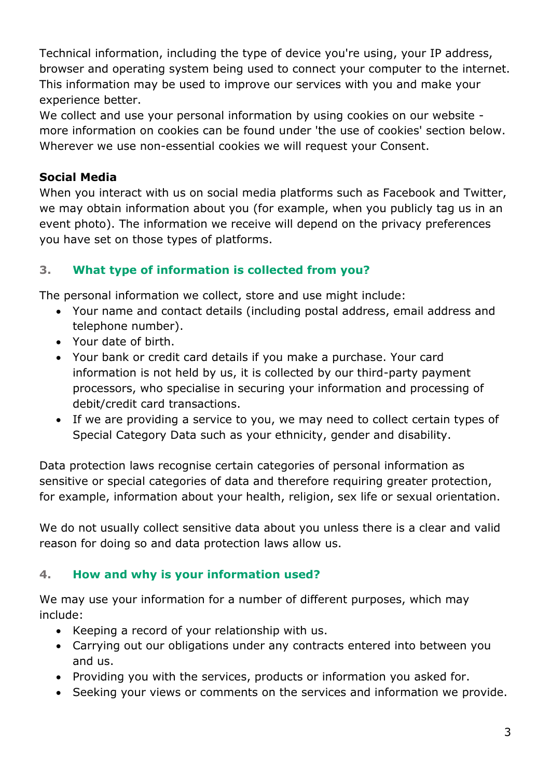Technical information, including the type of device you're using, your IP address, browser and operating system being used to connect your computer to the internet. This information may be used to improve our services with you and make your experience better.

We collect and use your personal information by using cookies on our website more information on cookies can be found under 'the use of cookies' section below. Wherever we use non-essential cookies we will request your Consent.

# **Social Media**

When you interact with us on social media platforms such as Facebook and Twitter, we may obtain information about you (for example, when you publicly tag us in an event photo). The information we receive will depend on the privacy preferences you have set on those types of platforms.

# **3. What type of information is collected from you?**

The personal information we collect, store and use might include:

- Your name and contact details (including postal address, email address and telephone number).
- Your date of birth.
- Your bank or credit card details if you make a purchase. Your card information is not held by us, it is collected by our third-party payment processors, who specialise in securing your information and processing of debit/credit card transactions.
- If we are providing a service to you, we may need to collect certain types of Special Category Data such as your ethnicity, gender and disability.

Data protection laws recognise certain categories of personal information as sensitive or special categories of data and therefore requiring greater protection, for example, information about your health, religion, sex life or sexual orientation.

We do not usually collect sensitive data about you unless there is a clear and valid reason for doing so and data protection laws allow us.

# **4. How and why is your information used?**

We may use your information for a number of different purposes, which may include:

- Keeping a record of your relationship with us.
- Carrying out our obligations under any contracts entered into between you and us.
- Providing you with the services, products or information you asked for.
- Seeking your views or comments on the services and information we provide.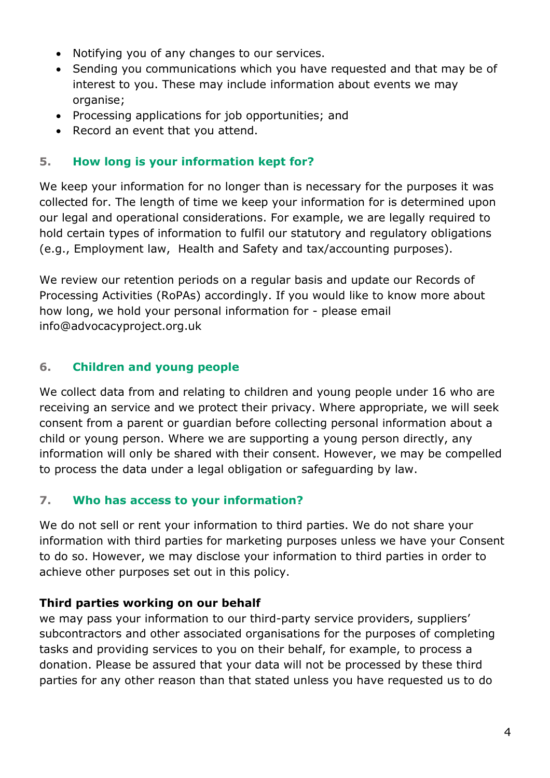- Notifying you of any changes to our services.
- Sending you communications which you have requested and that may be of interest to you. These may include information about events we may organise;
- Processing applications for job opportunities; and
- Record an event that you attend.

# **5. How long is your information kept for?**

We keep your information for no longer than is necessary for the purposes it was collected for. The length of time we keep your information for is determined upon our legal and operational considerations. For example, we are legally required to hold certain types of information to fulfil our statutory and regulatory obligations (e.g., Employment law, Health and Safety and tax/accounting purposes).

We review our retention periods on a regular basis and update our Records of Processing Activities (RoPAs) accordingly. If you would like to know more about how long, we hold your personal information for - please email info@advocacyproject.org.uk

# **6. Children and young people**

We collect data from and relating to children and young people under 16 who are receiving an service and we protect their privacy. Where appropriate, we will seek consent from a parent or guardian before collecting personal information about a child or young person. Where we are supporting a young person directly, any information will only be shared with their consent. However, we may be compelled to process the data under a legal obligation or safeguarding by law.

# **7. Who has access to your information?**

We do not sell or rent your information to third parties. We do not share your information with third parties for marketing purposes unless we have your Consent to do so. However, we may disclose your information to third parties in order to achieve other purposes set out in this policy.

# **Third parties working on our behalf**

we may pass your information to our third-party service providers, suppliers' subcontractors and other associated organisations for the purposes of completing tasks and providing services to you on their behalf, for example, to process a donation. Please be assured that your data will not be processed by these third parties for any other reason than that stated unless you have requested us to do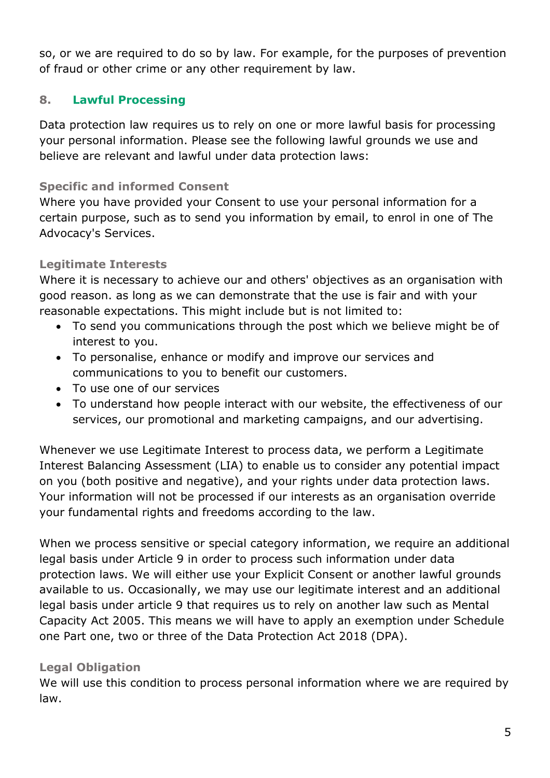so, or we are required to do so by law. For example, for the purposes of prevention of fraud or other crime or any other requirement by law.

#### **8. Lawful Processing**

Data protection law requires us to rely on one or more lawful basis for processing your personal information. Please see the following lawful grounds we use and believe are relevant and lawful under data protection laws:

#### **Specific and informed Consent**

Where you have provided your Consent to use your personal information for a certain purpose, such as to send you information by email, to enrol in one of The Advocacy's Services.

#### **Legitimate Interests**

Where it is necessary to achieve our and others' objectives as an organisation with good reason. as long as we can demonstrate that the use is fair and with your reasonable expectations. This might include but is not limited to:

- To send you communications through the post which we believe might be of interest to you.
- To personalise, enhance or modify and improve our services and communications to you to benefit our customers.
- To use one of our services
- To understand how people interact with our website, the effectiveness of our services, our promotional and marketing campaigns, and our advertising.

Whenever we use Legitimate Interest to process data, we perform a Legitimate Interest Balancing Assessment (LIA) to enable us to consider any potential impact on you (both positive and negative), and your rights under data protection laws. Your information will not be processed if our interests as an organisation override your fundamental rights and freedoms according to the law.

When we process sensitive or special category information, we require an additional legal basis under Article 9 in order to process such information under data protection laws. We will either use your Explicit Consent or another lawful grounds available to us. Occasionally, we may use our legitimate interest and an additional legal basis under article 9 that requires us to rely on another law such as Mental Capacity Act 2005. This means we will have to apply an exemption under Schedule one Part one, two or three of the Data Protection Act 2018 (DPA).

#### **Legal Obligation**

We will use this condition to process personal information where we are required by law.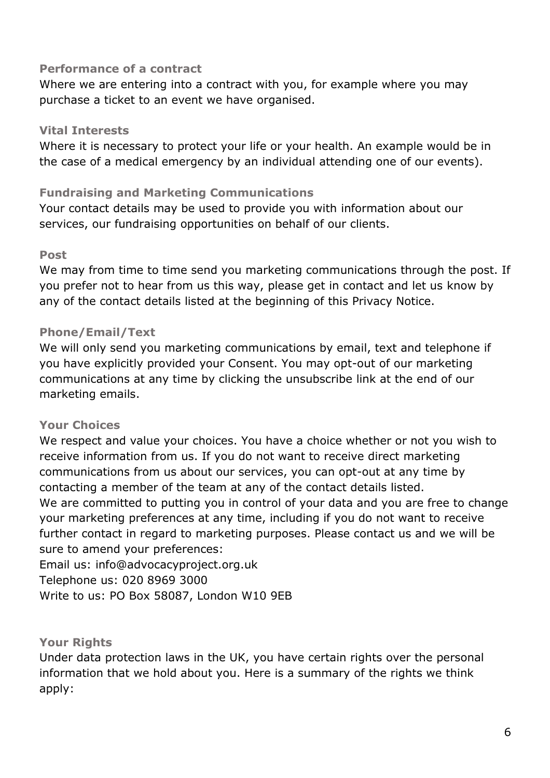#### **Performance of a contract**

Where we are entering into a contract with you, for example where you may purchase a ticket to an event we have organised.

#### **Vital Interests**

Where it is necessary to protect your life or your health. An example would be in the case of a medical emergency by an individual attending one of our events).

# **Fundraising and Marketing Communications**

Your contact details may be used to provide you with information about our services, our fundraising opportunities on behalf of our clients.

#### **Post**

We may from time to time send you marketing communications through the post. If you prefer not to hear from us this way, please get in contact and let us know by any of the contact details listed at the beginning of this Privacy Notice.

# **Phone/Email/Text**

We will only send you marketing communications by email, text and telephone if you have explicitly provided your Consent. You may opt-out of our marketing communications at any time by clicking the unsubscribe link at the end of our marketing emails.

# **Your Choices**

We respect and value your choices. You have a choice whether or not you wish to receive information from us. If you do not want to receive direct marketing communications from us about our services, you can opt-out at any time by contacting a member of the team at any of the contact details listed. We are committed to putting you in control of your data and you are free to change your marketing preferences at any time, including if you do not want to receive further contact in regard to marketing purposes. Please contact us and we will be sure to amend your preferences:

Email us: info@advocacyproject.org.uk Telephone us: 020 8969 3000 Write to us: PO Box 58087, London W10 9EB

# **Your Rights**

Under data protection laws in the UK, you have certain rights over the personal information that we hold about you. Here is a summary of the rights we think apply: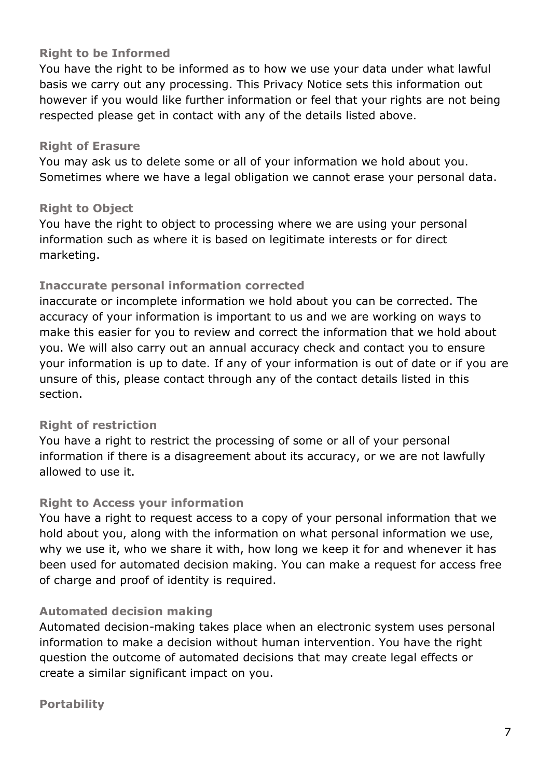#### **Right to be Informed**

You have the right to be informed as to how we use your data under what lawful basis we carry out any processing. This Privacy Notice sets this information out however if you would like further information or feel that your rights are not being respected please get in contact with any of the details listed above.

#### **Right of Erasure**

You may ask us to delete some or all of your information we hold about you. Sometimes where we have a legal obligation we cannot erase your personal data.

#### **Right to Object**

You have the right to object to processing where we are using your personal information such as where it is based on legitimate interests or for direct marketing.

# **Inaccurate personal information corrected**

inaccurate or incomplete information we hold about you can be corrected. The accuracy of your information is important to us and we are working on ways to make this easier for you to review and correct the information that we hold about you. We will also carry out an annual accuracy check and contact you to ensure your information is up to date. If any of your information is out of date or if you are unsure of this, please contact through any of the contact details listed in this section.

# **Right of restriction**

You have a right to restrict the processing of some or all of your personal information if there is a disagreement about its accuracy, or we are not lawfully allowed to use it.

#### **Right to Access your information**

You have a right to request access to a copy of your personal information that we hold about you, along with the information on what personal information we use, why we use it, who we share it with, how long we keep it for and whenever it has been used for automated decision making. You can make a request for access free of charge and proof of identity is required.

# **Automated decision making**

Automated decision-making takes place when an electronic system uses personal information to make a decision without human intervention. You have the right question the outcome of automated decisions that may create legal effects or create a similar significant impact on you.

#### **Portability**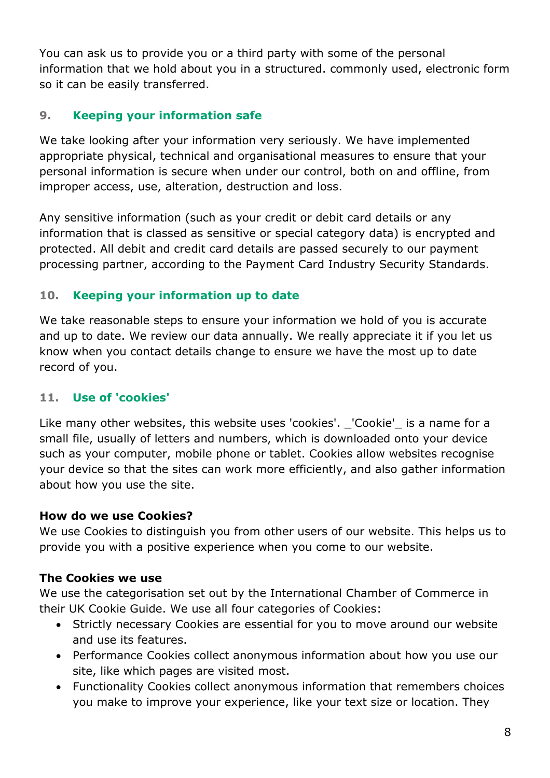You can ask us to provide you or a third party with some of the personal information that we hold about you in a structured. commonly used, electronic form so it can be easily transferred.

# **9. Keeping your information safe**

We take looking after your information very seriously. We have implemented appropriate physical, technical and organisational measures to ensure that your personal information is secure when under our control, both on and offline, from improper access, use, alteration, destruction and loss.

Any sensitive information (such as your credit or debit card details or any information that is classed as sensitive or special category data) is encrypted and protected. All debit and credit card details are passed securely to our payment processing partner, according to the Payment Card Industry Security Standards.

# **10. Keeping your information up to date**

We take reasonable steps to ensure your information we hold of you is accurate and up to date. We review our data annually. We really appreciate it if you let us know when you contact details change to ensure we have the most up to date record of you.

# **11. Use of 'cookies'**

Like many other websites, this website uses 'cookies'. \_'Cookie'\_ is a name for a small file, usually of letters and numbers, which is downloaded onto your device such as your computer, mobile phone or tablet. Cookies allow websites recognise your device so that the sites can work more efficiently, and also gather information about how you use the site.

# **How do we use Cookies?**

We use Cookies to distinguish you from other users of our website. This helps us to provide you with a positive experience when you come to our website.

# **The Cookies we use**

We use the categorisation set out by the International Chamber of Commerce in their UK Cookie Guide. We use all four categories of Cookies:

- Strictly necessary Cookies are essential for you to move around our website and use its features.
- Performance Cookies collect anonymous information about how you use our site, like which pages are visited most.
- Functionality Cookies collect anonymous information that remembers choices you make to improve your experience, like your text size or location. They